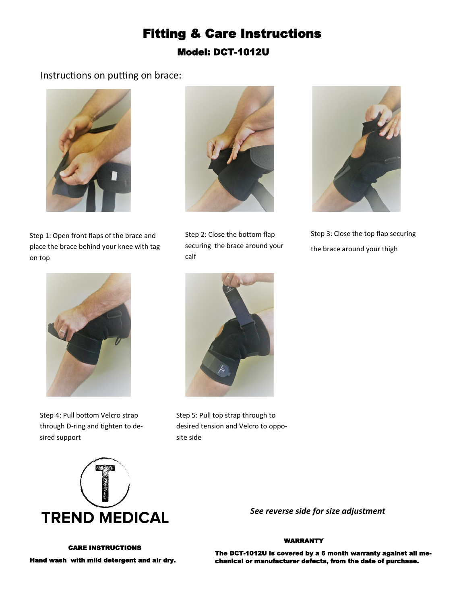# Fitting & Care Instructions Model: DCT-1012U

### Instructions on putting on brace:





Step 1: Open front flaps of the brace and place the brace behind your knee with tag on top

Step 2: Close the bottom flap securing the brace around your calf



Step 3: Close the top flap securing the brace around your thigh



Step 4: Pull bottom Velcro strap through D-ring and tighten to desired support



Step 5: Pull top strap through to desired tension and Velcro to opposite side



*See reverse side for size adjustment*

#### WARRANTY

The DCT-1012U is covered by a 6 month warranty against all mechanical or manufacturer defects, from the date of purchase.

 CARE INSTRUCTIONS Hand wash with mild detergent and air dry.